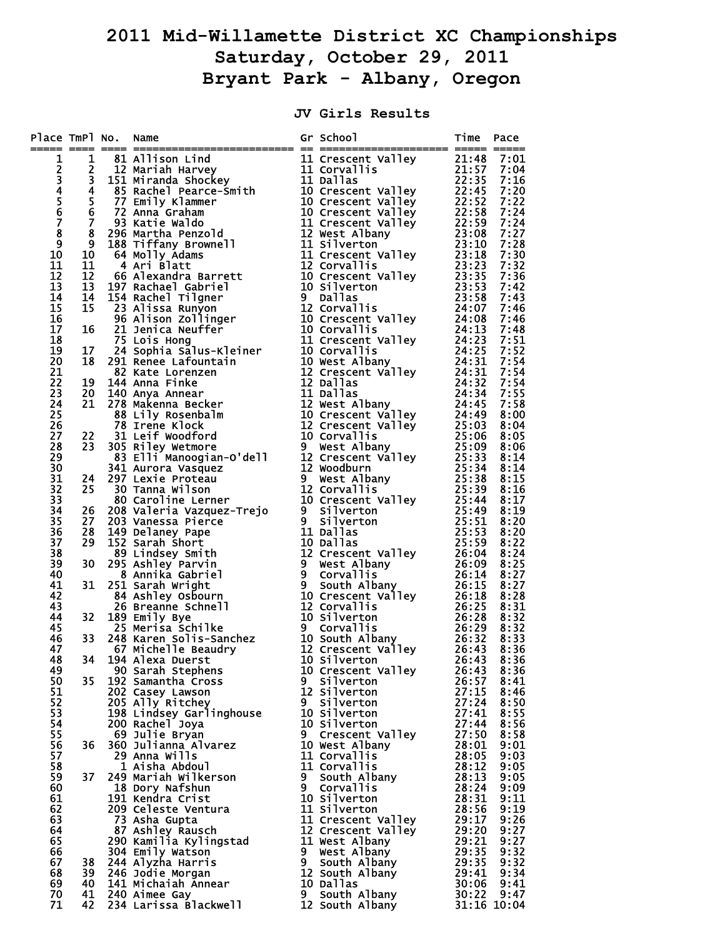## **2011 Mid-Willamette District XC Championships Saturday, October 29, 2011 Bryant Park - Albany, Oregon**

## **JV Girls Results**

| Place TmPl No. Name          |     | The Race Harbunder (1982)<br>1981 Anthony Lindon (1981)<br>1981 Anthony Lindon (1981)<br>1981 Anthony Lindon (1981)<br>1983 Anthen Memory 111 Concerns Valley 22:135 7:104<br>1983 Anthen Pascales (1982)<br>1983 Anthen Memory 112 Conce                                       |                                   | Time Pace |                                  |
|------------------------------|-----|---------------------------------------------------------------------------------------------------------------------------------------------------------------------------------------------------------------------------------------------------------------------------------|-----------------------------------|-----------|----------------------------------|
| 1                            |     |                                                                                                                                                                                                                                                                                 |                                   |           |                                  |
|                              |     |                                                                                                                                                                                                                                                                                 |                                   |           |                                  |
|                              |     |                                                                                                                                                                                                                                                                                 |                                   |           |                                  |
| 234567                       |     |                                                                                                                                                                                                                                                                                 |                                   |           |                                  |
|                              |     |                                                                                                                                                                                                                                                                                 |                                   |           |                                  |
|                              |     |                                                                                                                                                                                                                                                                                 |                                   |           |                                  |
|                              |     |                                                                                                                                                                                                                                                                                 |                                   |           |                                  |
| $\overline{\mathbf{8}}$<br>9 |     |                                                                                                                                                                                                                                                                                 |                                   |           |                                  |
| 10                           |     |                                                                                                                                                                                                                                                                                 |                                   |           |                                  |
| 11                           |     |                                                                                                                                                                                                                                                                                 |                                   |           |                                  |
| 12                           |     |                                                                                                                                                                                                                                                                                 |                                   |           |                                  |
| 13                           |     |                                                                                                                                                                                                                                                                                 |                                   |           |                                  |
| 14                           |     |                                                                                                                                                                                                                                                                                 |                                   |           |                                  |
| 15                           |     |                                                                                                                                                                                                                                                                                 |                                   |           |                                  |
| 16                           |     |                                                                                                                                                                                                                                                                                 |                                   |           |                                  |
| 17<br>18                     |     |                                                                                                                                                                                                                                                                                 |                                   |           |                                  |
| 19                           |     |                                                                                                                                                                                                                                                                                 |                                   |           |                                  |
| 20                           |     |                                                                                                                                                                                                                                                                                 |                                   |           |                                  |
| 21                           |     |                                                                                                                                                                                                                                                                                 |                                   |           |                                  |
| 22                           |     |                                                                                                                                                                                                                                                                                 |                                   |           |                                  |
| 23                           |     |                                                                                                                                                                                                                                                                                 |                                   |           |                                  |
| 24                           |     |                                                                                                                                                                                                                                                                                 |                                   |           |                                  |
| 25<br>26                     |     |                                                                                                                                                                                                                                                                                 |                                   |           |                                  |
| 27                           |     |                                                                                                                                                                                                                                                                                 |                                   |           |                                  |
| 28                           |     |                                                                                                                                                                                                                                                                                 |                                   |           |                                  |
| 29                           |     |                                                                                                                                                                                                                                                                                 |                                   |           |                                  |
| 30                           |     |                                                                                                                                                                                                                                                                                 |                                   |           |                                  |
| 31                           |     |                                                                                                                                                                                                                                                                                 |                                   |           |                                  |
| 32                           |     |                                                                                                                                                                                                                                                                                 |                                   |           |                                  |
| 33<br>34                     |     |                                                                                                                                                                                                                                                                                 |                                   |           |                                  |
| 35                           |     |                                                                                                                                                                                                                                                                                 |                                   |           |                                  |
| 36                           |     |                                                                                                                                                                                                                                                                                 |                                   |           |                                  |
| 37                           |     |                                                                                                                                                                                                                                                                                 |                                   |           |                                  |
| 38                           |     |                                                                                                                                                                                                                                                                                 |                                   |           |                                  |
| 39                           |     |                                                                                                                                                                                                                                                                                 |                                   |           |                                  |
| 40                           |     |                                                                                                                                                                                                                                                                                 |                                   |           |                                  |
| 41<br>42                     |     |                                                                                                                                                                                                                                                                                 |                                   |           |                                  |
| 43                           |     |                                                                                                                                                                                                                                                                                 |                                   |           |                                  |
| 44                           |     |                                                                                                                                                                                                                                                                                 |                                   |           |                                  |
| 45                           |     |                                                                                                                                                                                                                                                                                 |                                   |           |                                  |
| 46                           |     |                                                                                                                                                                                                                                                                                 |                                   |           |                                  |
|                              |     | 47 67 Michelle Beau<br>48 34 194 Alexa Duerst                                                                                                                                                                                                                                   |                                   |           |                                  |
|                              |     |                                                                                                                                                                                                                                                                                 |                                   |           |                                  |
| 49<br>50                     | 35  | 194 Alexa Duerst<br>90 Sarah Stephens<br>192 Samantha Cross                                                                                                                                                                                                                     | 10 Crescent Valley<br>9 Silverton |           | 8:36<br>26:43 8:36<br>26:43 8:36 |
| 51                           |     |                                                                                                                                                                                                                                                                                 |                                   |           |                                  |
| 52                           |     |                                                                                                                                                                                                                                                                                 |                                   |           |                                  |
| 53                           |     |                                                                                                                                                                                                                                                                                 |                                   |           |                                  |
| 54                           |     |                                                                                                                                                                                                                                                                                 |                                   |           |                                  |
| 55                           |     |                                                                                                                                                                                                                                                                                 |                                   |           |                                  |
| 56                           | 36  |                                                                                                                                                                                                                                                                                 |                                   |           |                                  |
| 57<br>58                     |     |                                                                                                                                                                                                                                                                                 |                                   |           |                                  |
| 59                           | 37  |                                                                                                                                                                                                                                                                                 |                                   |           |                                  |
| 60                           |     |                                                                                                                                                                                                                                                                                 |                                   |           |                                  |
| 61                           |     |                                                                                                                                                                                                                                                                                 |                                   |           |                                  |
| 62                           |     |                                                                                                                                                                                                                                                                                 |                                   |           |                                  |
| 63                           |     |                                                                                                                                                                                                                                                                                 |                                   |           |                                  |
| 64                           |     |                                                                                                                                                                                                                                                                                 |                                   |           |                                  |
| 65<br>66                     |     |                                                                                                                                                                                                                                                                                 |                                   |           |                                  |
| 67                           | 38  |                                                                                                                                                                                                                                                                                 |                                   |           |                                  |
| 68                           |     | 30 Sarah Stephens<br>19 Sarah Stephens<br>202 Casey Lawson<br>202 Casey Lawson<br>202 Casey Lawson<br>202 Casey Lawson<br>202 Casey Lawson<br>12 Silverton<br>27:15 8:46<br>205 Ally Ritchey<br>27:15 8:46<br>205 Ally Ritchey<br>27:15 8:46<br>200 Rach<br>39 246 Jodie Morgan |                                   |           |                                  |
| 69                           |     | 40 141 Michaiah Annear                                                                                                                                                                                                                                                          |                                   |           |                                  |
| 70                           |     | 41 240 Aimee Gay                                                                                                                                                                                                                                                                |                                   |           |                                  |
| 71                           | 42. |                                                                                                                                                                                                                                                                                 |                                   |           |                                  |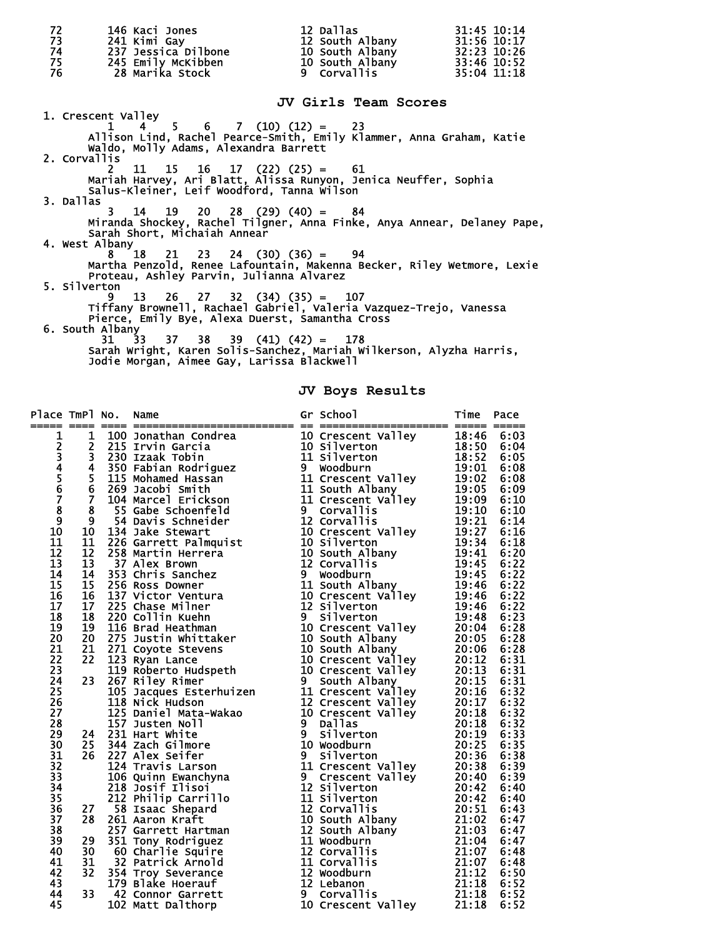| 72<br>73<br>74 | 146 Kaci Jones<br>241 Kimi Gay                                                                                                                                                                              | 12 Dallas<br>12 South Albany<br>237 Jessica Dilbone<br>237 Jessica Dilbone<br>245 Emily McKibben 10 South Albany 33:46 10:52 | 31:45 10:14<br>31:56 10:17 |
|----------------|-------------------------------------------------------------------------------------------------------------------------------------------------------------------------------------------------------------|------------------------------------------------------------------------------------------------------------------------------|----------------------------|
| 75<br>76       | 28 Marika Stock                                                                                                                                                                                             | 9 Corvallis                                                                                                                  | 35:04 11:18                |
|                |                                                                                                                                                                                                             | JV Girls Team Scores                                                                                                         |                            |
|                | 1. Crescent Valley<br>$1 \quad 4 \quad 5 \quad 6 \quad 7 \quad (10) \quad (12) = \quad 23$<br>Allison Lind, Rachel Pearce-Smith, Emily Klammer, Anna Graham, Katie<br>Waldo, Molly Adams, Alexandra Barrett |                                                                                                                              |                            |
| 2. Corvallis   | $11 \quad 15 \quad 16 \quad 17 \quad (22) \quad (25) = \quad 61$<br>Mariah Harvey, Ari Blatt, Alissa Runyon, Jenica Neuffer, Sophia<br>Salus-Kleiner, Leif Woodford, Tanna Wilson                           |                                                                                                                              |                            |
| 3. Dallas      | $14$ $19$ $20$ $28$ $(29)$ $(40)$ = 84<br>Miranda Shockey, Rachel Tilgner, Anna Finke, Anya Annear, Delaney Pape,<br>Sarah Short, Michaiah Annear<br>4. West Albany                                         |                                                                                                                              |                            |
| 5. Silverton   | $8$ 18 21 23 24 (30) (36) = 94<br>Martha Penzold, Renee Lafountain, Makenna Becker, Riley Wetmore, Lexie<br>Proteau, Ashley Parvin, Julianna Alvarez                                                        |                                                                                                                              |                            |
|                | $13 \t26 \t27 \t32 \t(34) \t(35) = 107$<br>Tiffany Brownell, Rachael Gabriel, Valeria Vazquez-Trejo, Vanessa<br>Pierce, Emily Bye, Alexa Duerst, Samantha Cross<br>6. South Albany                          |                                                                                                                              |                            |
|                | $31 \quad 33 \quad 37 \quad 38 \quad 39 \quad (41) \quad (42) = 178$<br>Sarah Wright, Karen Solis-Sanchez, Mariah Wilkerson, Alyzha Harris,<br>Jodie Morgan, Aimee Gay, Larissa Blackwell                   |                                                                                                                              |                            |

**JV Boys Results** 

| 12345678910     |  |  |  |  |
|-----------------|--|--|--|--|
|                 |  |  |  |  |
|                 |  |  |  |  |
|                 |  |  |  |  |
|                 |  |  |  |  |
|                 |  |  |  |  |
|                 |  |  |  |  |
|                 |  |  |  |  |
|                 |  |  |  |  |
|                 |  |  |  |  |
| 11              |  |  |  |  |
| 12              |  |  |  |  |
| 13              |  |  |  |  |
| 14<br>15        |  |  |  |  |
| $\overline{16}$ |  |  |  |  |
| 17              |  |  |  |  |
| 18              |  |  |  |  |
| 19              |  |  |  |  |
| 20              |  |  |  |  |
| 21              |  |  |  |  |
| 22              |  |  |  |  |
| 23              |  |  |  |  |
| 24              |  |  |  |  |
| 25              |  |  |  |  |
| 26              |  |  |  |  |
| 27              |  |  |  |  |
| 28              |  |  |  |  |
| 29              |  |  |  |  |
| 30              |  |  |  |  |
| 31              |  |  |  |  |
| $\overline{32}$ |  |  |  |  |
| $\overline{3}3$ |  |  |  |  |
| 34              |  |  |  |  |
| 35              |  |  |  |  |
| 36              |  |  |  |  |
| 37              |  |  |  |  |
| 38              |  |  |  |  |
| 39              |  |  |  |  |
| 40              |  |  |  |  |
| 41              |  |  |  |  |
| 42              |  |  |  |  |
| 43<br>44        |  |  |  |  |
|                 |  |  |  |  |
| 45              |  |  |  |  |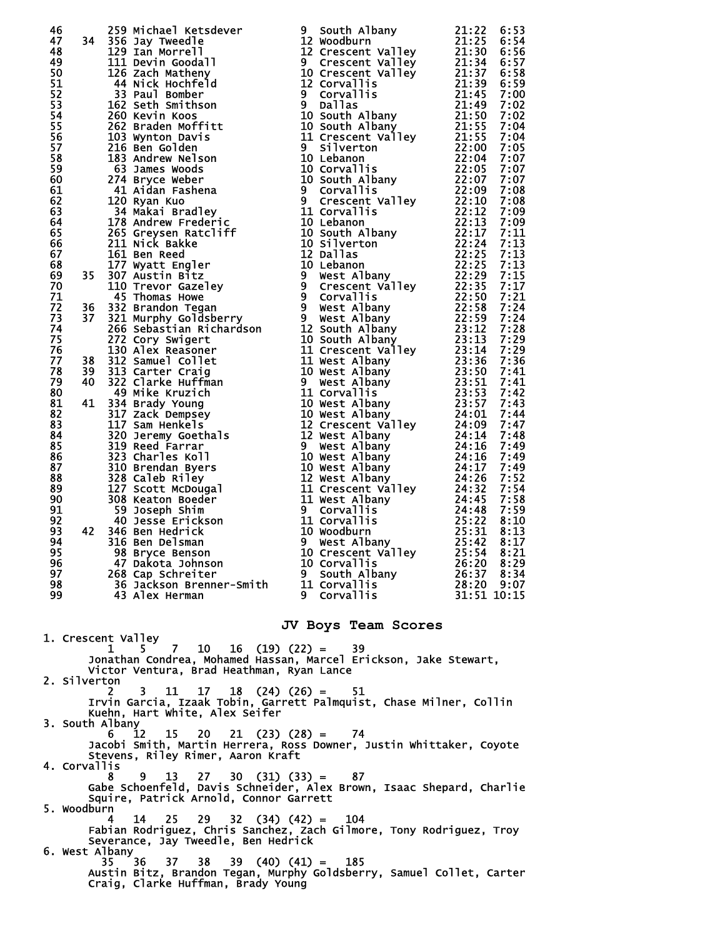| 96                 |     | 46<br>467 253 Michael Kersdever<br>47 235 Michael Kersdever<br>122 January 21:225 6:53<br>122 January Tweedle<br>122 November 122 Cressent Willey<br>122 January 22:1330 Gives<br>1112 Devel no small of the control of the control of the<br>47 Dakota Johnson | 10 Corvallis                    | 26:20 8:29               |  |
|--------------------|-----|-----------------------------------------------------------------------------------------------------------------------------------------------------------------------------------------------------------------------------------------------------------------|---------------------------------|--------------------------|--|
| 97<br>98           |     | 268 Cap Schreiter 9 South Albany<br>36 Jackson Brenner-Smith 11 Corvallis                                                                                                                                                                                       |                                 | 26:37 8:34<br>28:20 9:07 |  |
| 99                 |     | 43 Alex Herman                                                                                                                                                                                                                                                  | 9 Corvallis                     | 31:51 10:15              |  |
| 1. Crescent Valley |     |                                                                                                                                                                                                                                                                 | JV Boys Team Scores             |                          |  |
|                    | 1   | $7 \quad 10$<br>$16$ (19) (22) =<br>5.<br>Jonathan Condrea, Mohamed Hassan, Marcel Erickson, Jake Stewart,<br>Victor Ventura, Brad Heathman, Ryan Lance                                                                                                         | 39                              |                          |  |
| 2. Silverton       |     | 11<br>17<br>3.                                                                                                                                                                                                                                                  | $18$ (24) (26) = 51             |                          |  |
| 3. South Albany    |     | Irvin Garcia, Izaak Tobin, Garrett Palmquist, Chase Milner, Collin<br>Kuehn, Hart White, Alex Seifer                                                                                                                                                            |                                 |                          |  |
|                    | 6.  | 15<br><b>20</b><br>12<br>Jacobi Smith, Martin Herrera, Ross Downer, Justin Whittaker, Coyote                                                                                                                                                                    | $21 \quad (23) \quad (28) = 74$ |                          |  |
| 4. Corvallis       |     | Stevens, Riley Rimer, Aaron Kraft                                                                                                                                                                                                                               |                                 |                          |  |
|                    | 8.  | 13<br>-27<br>Gabe Schoenfeld, Davis Schneider, Alex Brown, Isaac Shepard, Charlie<br>Squire, Patrick Arnold, Connor Garrett                                                                                                                                     | $30 \quad (31) \quad (33) = 87$ |                          |  |
| 5. Woodburn        | 4   | 25<br>-29<br>14                                                                                                                                                                                                                                                 | $32$ $(34)$ $(42) = 104$        |                          |  |
| 6. West Albany     |     | Fabian Rodriguez, Chris Sanchez, Zach Gilmore, Tony Rodriguez, Troy<br>Severance, Jay Tweedle, Ben Hedrick                                                                                                                                                      |                                 |                          |  |
|                    | 35. | 38<br>36<br>37<br>Austin Bitz, Brandon Tegan, Murphy Goldsberry, Samuel Collet, Carter<br>Craig, Clarke Huffman, Brady Young                                                                                                                                    | $39$ (40) (41) = 185            |                          |  |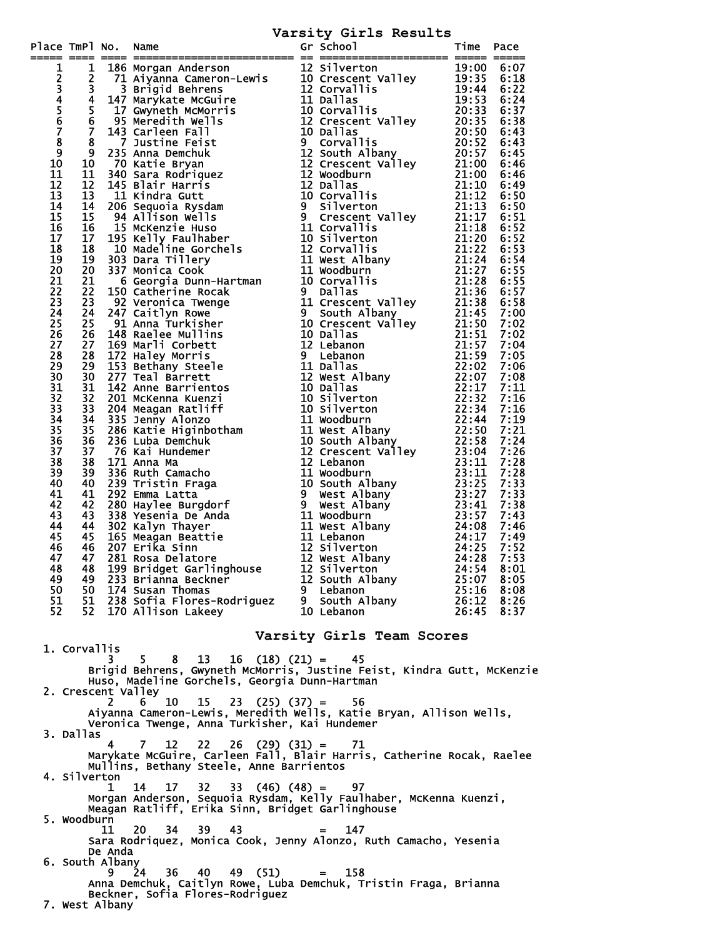## **Varsity Girls Results**

|                            |                                                                                       |    | Terman Montgom Anderson (1997)<br>1136 Marygan Anderson (1997)<br>1137 Maynam Anderson (1997)<br>1137 Maynam Anderson (1997)<br>1137 Crescent Valley (1998)<br>1137 Maynam Cameron (1997)<br>1137 Crescent Valley 20:338 6:34<br>1137 Mayna |   |                           |       |      |  |
|----------------------------|---------------------------------------------------------------------------------------|----|---------------------------------------------------------------------------------------------------------------------------------------------------------------------------------------------------------------------------------------------|---|---------------------------|-------|------|--|
| 1                          |                                                                                       |    |                                                                                                                                                                                                                                             |   |                           |       |      |  |
|                            |                                                                                       |    |                                                                                                                                                                                                                                             |   |                           |       |      |  |
|                            |                                                                                       |    |                                                                                                                                                                                                                                             |   |                           |       |      |  |
|                            |                                                                                       |    |                                                                                                                                                                                                                                             |   |                           |       |      |  |
| 23456789                   |                                                                                       |    |                                                                                                                                                                                                                                             |   |                           |       |      |  |
|                            |                                                                                       |    |                                                                                                                                                                                                                                             |   |                           |       |      |  |
|                            |                                                                                       |    |                                                                                                                                                                                                                                             |   |                           |       |      |  |
|                            |                                                                                       |    |                                                                                                                                                                                                                                             |   |                           |       |      |  |
|                            |                                                                                       |    |                                                                                                                                                                                                                                             |   |                           |       |      |  |
| 10                         |                                                                                       |    |                                                                                                                                                                                                                                             |   |                           |       |      |  |
| 11                         |                                                                                       |    |                                                                                                                                                                                                                                             |   |                           |       |      |  |
| 12                         |                                                                                       |    |                                                                                                                                                                                                                                             |   |                           |       |      |  |
| 13                         |                                                                                       |    |                                                                                                                                                                                                                                             |   |                           |       |      |  |
| 14                         |                                                                                       |    |                                                                                                                                                                                                                                             |   |                           |       |      |  |
| 15                         |                                                                                       |    |                                                                                                                                                                                                                                             |   |                           |       |      |  |
| 16                         |                                                                                       |    |                                                                                                                                                                                                                                             |   |                           |       |      |  |
| 17                         |                                                                                       |    |                                                                                                                                                                                                                                             |   |                           |       |      |  |
| 18                         |                                                                                       |    |                                                                                                                                                                                                                                             |   |                           |       |      |  |
| 19                         |                                                                                       |    |                                                                                                                                                                                                                                             |   |                           |       |      |  |
| 20                         |                                                                                       |    |                                                                                                                                                                                                                                             |   |                           |       |      |  |
| 21                         |                                                                                       |    |                                                                                                                                                                                                                                             |   |                           |       |      |  |
| $\overline{2}\overline{2}$ |                                                                                       |    |                                                                                                                                                                                                                                             |   |                           |       |      |  |
| 23                         |                                                                                       |    |                                                                                                                                                                                                                                             |   |                           |       |      |  |
| 24                         |                                                                                       |    |                                                                                                                                                                                                                                             |   |                           |       |      |  |
| 25                         |                                                                                       |    |                                                                                                                                                                                                                                             |   |                           |       |      |  |
| $\overline{26}$            |                                                                                       |    |                                                                                                                                                                                                                                             |   |                           |       |      |  |
| 27                         |                                                                                       |    |                                                                                                                                                                                                                                             |   |                           |       |      |  |
| 28                         |                                                                                       |    |                                                                                                                                                                                                                                             |   |                           |       |      |  |
| 29                         |                                                                                       |    |                                                                                                                                                                                                                                             |   |                           |       |      |  |
| 30                         |                                                                                       |    |                                                                                                                                                                                                                                             |   |                           |       |      |  |
| 31                         |                                                                                       |    |                                                                                                                                                                                                                                             |   |                           |       |      |  |
| 32                         |                                                                                       |    |                                                                                                                                                                                                                                             |   |                           |       |      |  |
| 33                         |                                                                                       |    |                                                                                                                                                                                                                                             |   |                           |       |      |  |
| 34<br>35                   |                                                                                       |    |                                                                                                                                                                                                                                             |   |                           |       |      |  |
| 36                         |                                                                                       |    |                                                                                                                                                                                                                                             |   |                           |       |      |  |
| 37                         |                                                                                       |    |                                                                                                                                                                                                                                             |   |                           |       |      |  |
| 38                         |                                                                                       |    |                                                                                                                                                                                                                                             |   |                           |       |      |  |
| 39                         |                                                                                       |    |                                                                                                                                                                                                                                             |   |                           |       |      |  |
| 40                         |                                                                                       |    |                                                                                                                                                                                                                                             |   |                           |       |      |  |
| 41                         |                                                                                       |    |                                                                                                                                                                                                                                             |   |                           |       |      |  |
| 42                         |                                                                                       |    |                                                                                                                                                                                                                                             |   |                           |       |      |  |
| 43                         |                                                                                       |    |                                                                                                                                                                                                                                             |   |                           |       |      |  |
| 44                         |                                                                                       |    |                                                                                                                                                                                                                                             |   |                           |       |      |  |
| 45                         |                                                                                       |    |                                                                                                                                                                                                                                             |   |                           |       |      |  |
| 46                         |                                                                                       |    |                                                                                                                                                                                                                                             |   |                           |       |      |  |
| 47                         |                                                                                       |    |                                                                                                                                                                                                                                             |   |                           |       |      |  |
| 48                         |                                                                                       |    |                                                                                                                                                                                                                                             |   |                           |       |      |  |
| 49                         | 49                                                                                    |    | 233 Brianna Beckner                                                                                                                                                                                                                         |   | 12 South Albany           | 25:07 | 8:05 |  |
| 50                         | 50                                                                                    |    | 174 Susan Thomas                                                                                                                                                                                                                            | 9 | Lebanon                   | 25:16 | 8:08 |  |
| 51                         | 51                                                                                    |    | 238 Sofia Flores-Rodriguez                                                                                                                                                                                                                  | 9 | South Albany              | 26:12 | 8:26 |  |
| 52                         | 52                                                                                    |    | 170 Allison Lakeey                                                                                                                                                                                                                          |   | 10 Lebanon                | 26:45 | 8:37 |  |
|                            |                                                                                       |    |                                                                                                                                                                                                                                             |   |                           |       |      |  |
|                            |                                                                                       |    |                                                                                                                                                                                                                                             |   | Varsity Girls Team Scores |       |      |  |
|                            | 1. Corvallis                                                                          |    |                                                                                                                                                                                                                                             |   |                           |       |      |  |
|                            |                                                                                       | З. | $16$ $(18)$ $(21) = 45$<br>5.<br>8.<br>13                                                                                                                                                                                                   |   |                           |       |      |  |
|                            |                                                                                       |    | Brigid Behrens, Gwyneth McMorris, Justine Feist, Kindra Gutt, McKenzie                                                                                                                                                                      |   |                           |       |      |  |
|                            |                                                                                       |    | Huso, Madeline Gorchels, Georgia Dunn-Hartman                                                                                                                                                                                               |   |                           |       |      |  |
|                            |                                                                                       |    | 2. Crescent Valley                                                                                                                                                                                                                          |   |                           |       |      |  |
|                            |                                                                                       | 2  | 10<br>15<br>23<br>6.                                                                                                                                                                                                                        |   | 56                        |       |      |  |
|                            | $(25)$ $(37) =$<br>Aiyanna Cameron-Lewis, Meredith Wells, Katie Bryan, Allison Wells, |    |                                                                                                                                                                                                                                             |   |                           |       |      |  |
|                            |                                                                                       |    | Veronica Twenge, Anna Turkisher, Kai Hundemer                                                                                                                                                                                               |   |                           |       |      |  |
|                            | 3. Dallas                                                                             |    |                                                                                                                                                                                                                                             |   |                           |       |      |  |
|                            |                                                                                       |    |                                                                                                                                                                                                                                             |   |                           |       |      |  |
|                            |                                                                                       |    |                                                                                                                                                                                                                                             |   |                           |       |      |  |
|                            |                                                                                       |    | Mullins, Bethany Steele, Anne Barrientos                                                                                                                                                                                                    |   |                           |       |      |  |
|                            | 4. Silverton                                                                          |    |                                                                                                                                                                                                                                             |   |                           |       |      |  |

 1 14 17 32 33 (46) (48) = 97 Morgan Anderson, Sequoia Rysdam, Kelly Faulhaber, McKenna Kuenzi, Meagan Ratliff, Erika Sinn, Bridget Garlinghouse

 5. Woodburn 11 20 34 39 43 = 147 Sara Rodriquez, Monica Cook, Jenny Alonzo, Ruth Camacho, Yesenia De Anda 6. South Albany

 9 24 36 40 49 (51) = 158 Anna Demchuk, Caitlyn Rowe, Luba Demchuk, Tristin Fraga, Brianna Beckner, Sofia Flores-Rodriguez 7. West Albany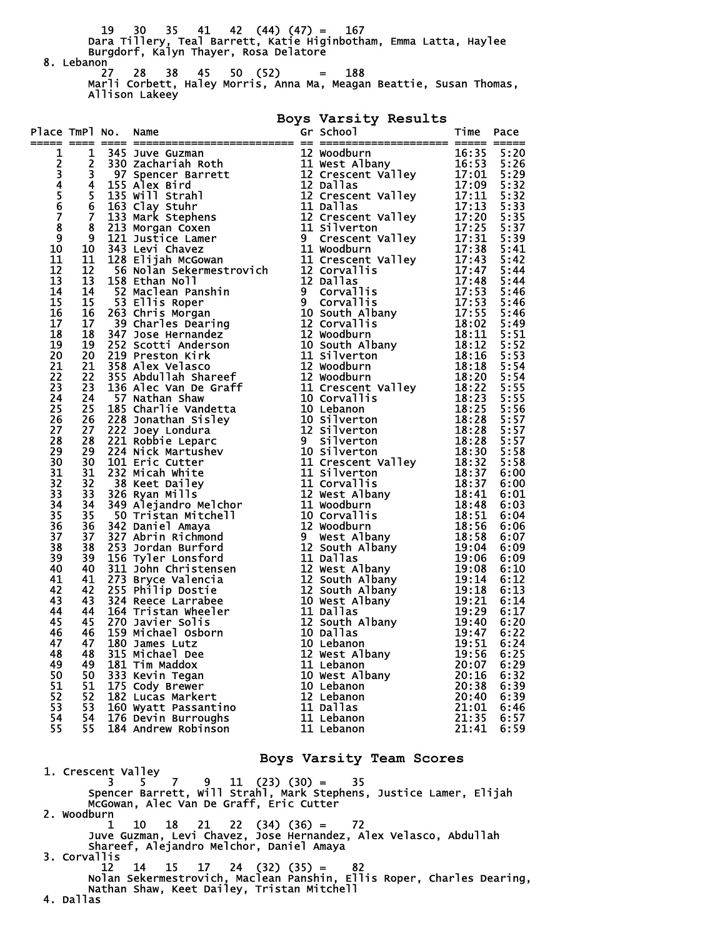19 30 35 41 42 (44) (47) = 167 Dara Tillery, Teal Barrett, Katie Higinbotham, Emma Latta, Haylee Burgdorf, Kalyn Thayer, Rosa Delatore 8. Lebanon<br>27 27 28 38 45 50 (52) = 188 Marli Corbett, Haley Morris, Anna Ma, Meagan Beattie, Susan Thomas, Allison Lakeey

**Boys Varsity Results** 

| Place TmPl No. Name |  | $\frac{1}{2} = \frac{1}{12} = \frac{1}{3} = \frac{1}{3} = \frac{1}{3} = \frac{1}{3} = \frac{1}{3} = \frac{1}{3} = \frac{1}{3} = \frac{1}{3} = \frac{1}{3} = \frac{1}{3} = \frac{1}{3} = \frac{1}{3} = \frac{1}{3} = \frac{1}{3} = \frac{1}{3} = \frac{1}{3} = \frac{1}{3} = \frac{1}{3} = \frac{1}{3} = \frac{1}{3} = \frac{1}{3} = \frac{1}{3} = \frac{1}{3} = \frac{1}{3} = \frac{1}{3} = \frac{$ |  |  |
|---------------------|--|-----------------------------------------------------------------------------------------------------------------------------------------------------------------------------------------------------------------------------------------------------------------------------------------------------------------------------------------------------------------------------------------------------|--|--|
|                     |  |                                                                                                                                                                                                                                                                                                                                                                                                     |  |  |
|                     |  |                                                                                                                                                                                                                                                                                                                                                                                                     |  |  |
|                     |  |                                                                                                                                                                                                                                                                                                                                                                                                     |  |  |
|                     |  |                                                                                                                                                                                                                                                                                                                                                                                                     |  |  |
|                     |  |                                                                                                                                                                                                                                                                                                                                                                                                     |  |  |
|                     |  |                                                                                                                                                                                                                                                                                                                                                                                                     |  |  |
|                     |  |                                                                                                                                                                                                                                                                                                                                                                                                     |  |  |
|                     |  |                                                                                                                                                                                                                                                                                                                                                                                                     |  |  |
|                     |  |                                                                                                                                                                                                                                                                                                                                                                                                     |  |  |
|                     |  |                                                                                                                                                                                                                                                                                                                                                                                                     |  |  |
|                     |  |                                                                                                                                                                                                                                                                                                                                                                                                     |  |  |
|                     |  |                                                                                                                                                                                                                                                                                                                                                                                                     |  |  |
|                     |  |                                                                                                                                                                                                                                                                                                                                                                                                     |  |  |
|                     |  |                                                                                                                                                                                                                                                                                                                                                                                                     |  |  |
|                     |  |                                                                                                                                                                                                                                                                                                                                                                                                     |  |  |
|                     |  |                                                                                                                                                                                                                                                                                                                                                                                                     |  |  |
|                     |  |                                                                                                                                                                                                                                                                                                                                                                                                     |  |  |
|                     |  |                                                                                                                                                                                                                                                                                                                                                                                                     |  |  |
|                     |  |                                                                                                                                                                                                                                                                                                                                                                                                     |  |  |
|                     |  |                                                                                                                                                                                                                                                                                                                                                                                                     |  |  |
|                     |  |                                                                                                                                                                                                                                                                                                                                                                                                     |  |  |
|                     |  |                                                                                                                                                                                                                                                                                                                                                                                                     |  |  |
|                     |  |                                                                                                                                                                                                                                                                                                                                                                                                     |  |  |
|                     |  |                                                                                                                                                                                                                                                                                                                                                                                                     |  |  |
|                     |  |                                                                                                                                                                                                                                                                                                                                                                                                     |  |  |
|                     |  |                                                                                                                                                                                                                                                                                                                                                                                                     |  |  |
|                     |  |                                                                                                                                                                                                                                                                                                                                                                                                     |  |  |
|                     |  |                                                                                                                                                                                                                                                                                                                                                                                                     |  |  |
|                     |  |                                                                                                                                                                                                                                                                                                                                                                                                     |  |  |
|                     |  |                                                                                                                                                                                                                                                                                                                                                                                                     |  |  |
|                     |  |                                                                                                                                                                                                                                                                                                                                                                                                     |  |  |
|                     |  |                                                                                                                                                                                                                                                                                                                                                                                                     |  |  |
|                     |  |                                                                                                                                                                                                                                                                                                                                                                                                     |  |  |
|                     |  |                                                                                                                                                                                                                                                                                                                                                                                                     |  |  |
|                     |  |                                                                                                                                                                                                                                                                                                                                                                                                     |  |  |
|                     |  |                                                                                                                                                                                                                                                                                                                                                                                                     |  |  |
|                     |  |                                                                                                                                                                                                                                                                                                                                                                                                     |  |  |
|                     |  |                                                                                                                                                                                                                                                                                                                                                                                                     |  |  |
|                     |  |                                                                                                                                                                                                                                                                                                                                                                                                     |  |  |
|                     |  |                                                                                                                                                                                                                                                                                                                                                                                                     |  |  |
|                     |  |                                                                                                                                                                                                                                                                                                                                                                                                     |  |  |
|                     |  |                                                                                                                                                                                                                                                                                                                                                                                                     |  |  |
|                     |  |                                                                                                                                                                                                                                                                                                                                                                                                     |  |  |
|                     |  |                                                                                                                                                                                                                                                                                                                                                                                                     |  |  |
|                     |  |                                                                                                                                                                                                                                                                                                                                                                                                     |  |  |
|                     |  |                                                                                                                                                                                                                                                                                                                                                                                                     |  |  |
|                     |  |                                                                                                                                                                                                                                                                                                                                                                                                     |  |  |
|                     |  |                                                                                                                                                                                                                                                                                                                                                                                                     |  |  |
|                     |  |                                                                                                                                                                                                                                                                                                                                                                                                     |  |  |
|                     |  |                                                                                                                                                                                                                                                                                                                                                                                                     |  |  |
|                     |  |                                                                                                                                                                                                                                                                                                                                                                                                     |  |  |
|                     |  |                                                                                                                                                                                                                                                                                                                                                                                                     |  |  |
|                     |  |                                                                                                                                                                                                                                                                                                                                                                                                     |  |  |
|                     |  |                                                                                                                                                                                                                                                                                                                                                                                                     |  |  |

**Boys Varsity Team Scores** 

1. Crescent Valley 3 5 7 9 11 (23) (30) = 35 Spencer Barrett, Will Strahl, Mark Stephens, Justice Lamer, Elijah McGowan, Alec Van De Graff, Eric Cutter 2. Woodburn 1 10 18 21 22 (34) (36) = 72 Juve Guzman, Levi Chavez, Jose Hernandez, Alex Velasco, Abdullah Shareef, Alejandro Melchor, Daniel Amaya 3. Corvallis  $12$   $14$  12 14 15 17 24 (32) (35) = 82 Nolan Sekermestrovich, Maclean Panshin, Ellis Roper, Charles Dearing, Nathan Shaw, Keet Dailey, Tristan Mitchell 4. Dallas